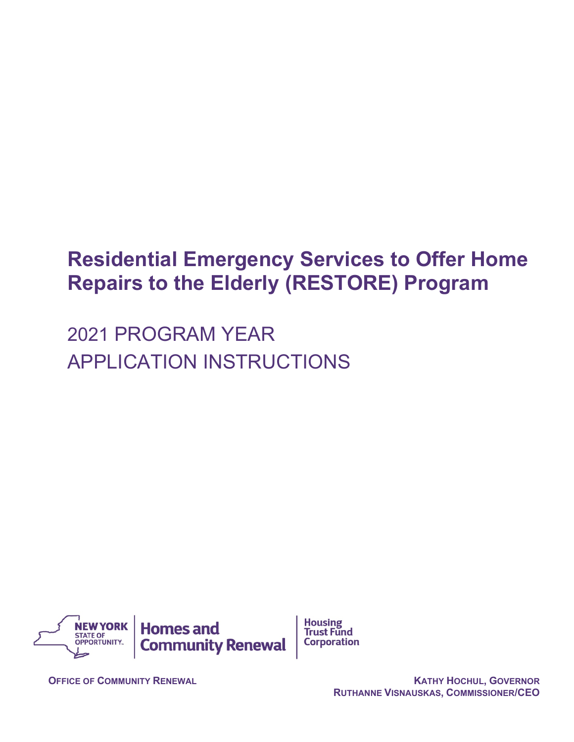# **Residential Emergency Services to Offer Home Repairs to the Elderly (RESTORE) Program**

2021 PROGRAM YEAR APPLICATION INSTRUCTIONS



**OFFICE OF COMMUNITY RENEWAL <b>COMMUNITY RENEWAL KATHY HOCHUL, GOVERNOR RUTHANNE VISNAUSKAS, COMMISSIONER/CEO**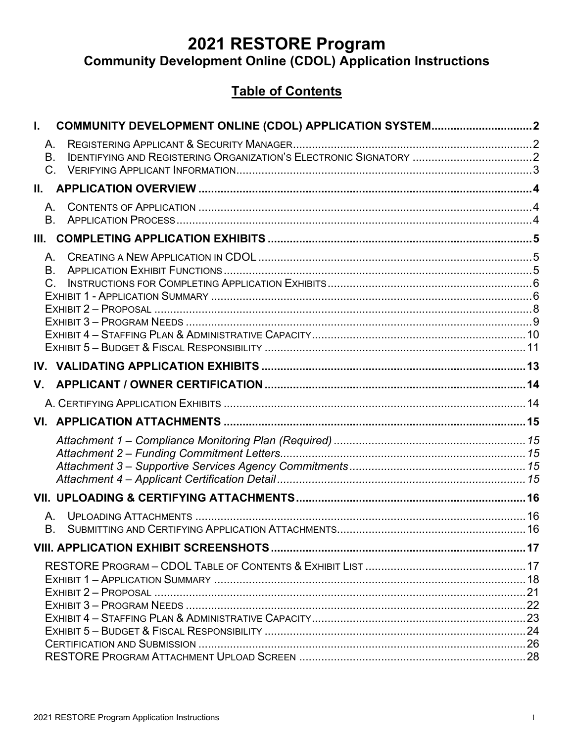# **2021 RESTORE Program**

# **Community Development Online (CDOL) Application Instructions**

# **Table of Contents**

| I.    |                                   |  |
|-------|-----------------------------------|--|
|       | Α.<br><b>B.</b>                   |  |
| II. – | $C_{-}$                           |  |
|       | A.<br>B <sub>1</sub>              |  |
| III.  |                                   |  |
|       | A.<br><b>B.</b><br>$\mathsf{C}$ . |  |
|       |                                   |  |
|       |                                   |  |
| V.    |                                   |  |
|       |                                   |  |
|       |                                   |  |
|       |                                   |  |
|       |                                   |  |
|       | А.<br>В.                          |  |
|       |                                   |  |
|       |                                   |  |
|       |                                   |  |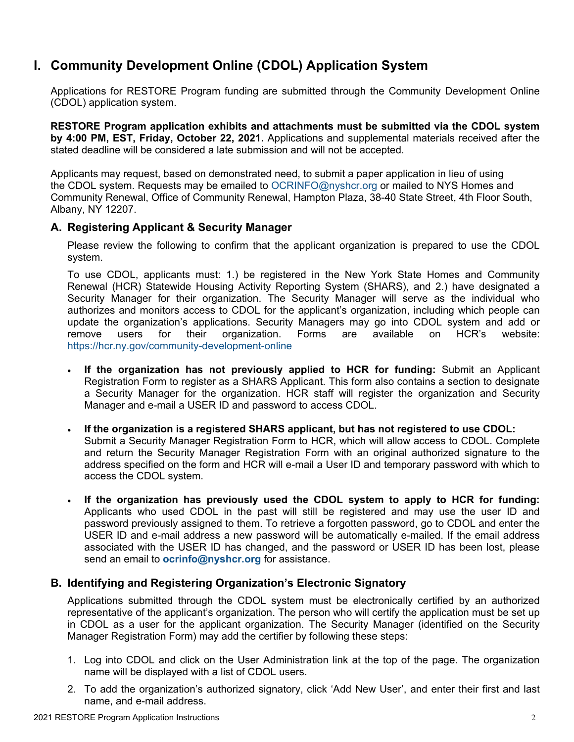# <span id="page-2-0"></span>**I. Community Development Online (CDOL) Application System**

Applications for RESTORE Program funding are submitted through the Community Development Online (CDOL) application system.

**RESTORE Program application exhibits and attachments must be submitted via the CDOL system by 4:00 PM, EST, Friday, October 22, 2021.** Applications and supplemental materials received after the stated deadline will be considered a late submission and will not be accepted.

Applicants may request, based on demonstrated need, to submit a paper application in lieu of using the CDOL system. Requests may be emailed to OCRINFO@nyshcr.org or mailed to NYS Homes and Community Renewal, Office of Community Renewal, Hampton Plaza, 38-40 State Street, 4th Floor South, Albany, NY 12207.

# <span id="page-2-1"></span>**A. Registering Applicant & Security Manager**

Please review the following to confirm that the applicant organization is prepared to use the CDOL system.

To use CDOL, applicants must: 1.) be registered in the New York State Homes and Community Renewal (HCR) Statewide Housing Activity Reporting System (SHARS), and 2.) have designated a Security Manager for their organization. The Security Manager will serve as the individual who authorizes and monitors access to CDOL for the applicant's organization, including which people can update the organization's applications. Security Managers may go into CDOL system and add or<br>remove users for their organization. Forms are available on HCR's website: remove users for their organization. Forms are available on HCR's website: <https://hcr.ny.gov/community-development-online>

- **If the organization has not previously applied to HCR for funding:** Submit an Applicant Registration Form to register as a SHARS Applicant. This form also contains a section to designate a Security Manager for the organization. HCR staff will register the organization and Security Manager and e-mail a USER ID and password to access CDOL.
- **If the organization is a registered SHARS applicant, but has not registered to use CDOL:** Submit a Security Manager Registration Form to HCR, which will allow access to CDOL. Complete and return the Security Manager Registration Form with an original authorized signature to the address specified on the form and HCR will e-mail a User ID and temporary password with which to access the CDOL system.
- **If the organization has previously used the CDOL system to apply to HCR for funding:** Applicants who used CDOL in the past will still be registered and may use the user ID and password previously assigned to them. To retrieve a forgotten password, go to CDOL and enter the USER ID and e-mail address a new password will be automatically e-mailed. If the email address associated with the USER ID has changed, and the password or USER ID has been lost, please send an email to **[ocrinfo@nyshcr.org](mailto:ocrinfo@nyshcr.org)** for assistance.

# <span id="page-2-2"></span>**B. Identifying and Registering Organization's Electronic Signatory**

Applications submitted through the CDOL system must be electronically certified by an authorized representative of the applicant's organization. The person who will certify the application must be set up in CDOL as a user for the applicant organization. The Security Manager (identified on the Security Manager Registration Form) may add the certifier by following these steps:

- 1. Log into CDOL and click on the User Administration link at the top of the page. The organization name will be displayed with a list of CDOL users.
- 2. To add the organization's authorized signatory, click 'Add New User', and enter their first and last name, and e-mail address.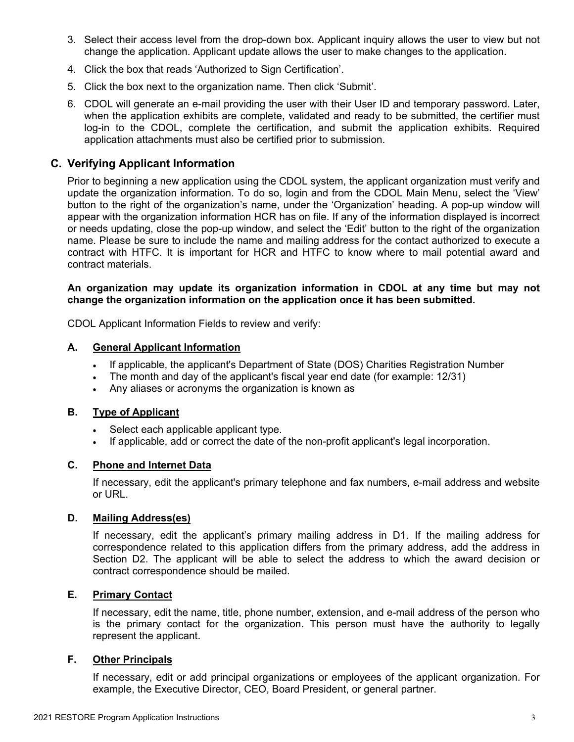- 3. Select their access level from the drop-down box. Applicant inquiry allows the user to view but not change the application. Applicant update allows the user to make changes to the application.
- 4. Click the box that reads 'Authorized to Sign Certification'.
- 5. Click the box next to the organization name. Then click 'Submit'.
- 6. CDOL will generate an e-mail providing the user with their User ID and temporary password. Later, when the application exhibits are complete, validated and ready to be submitted, the certifier must log-in to the CDOL, complete the certification, and submit the application exhibits. Required application attachments must also be certified prior to submission.

#### <span id="page-3-0"></span>**C. Verifying Applicant Information**

Prior to beginning a new application using the CDOL system, the applicant organization must verify and update the organization information. To do so, login and from the CDOL Main Menu, select the 'View' button to the right of the organization's name, under the 'Organization' heading. A pop-up window will appear with the organization information HCR has on file. If any of the information displayed is incorrect or needs updating, close the pop-up window, and select the 'Edit' button to the right of the organization name. Please be sure to include the name and mailing address for the contact authorized to execute a contract with HTFC. It is important for HCR and HTFC to know where to mail potential award and contract materials.

#### **An organization may update its organization information in CDOL at any time but may not change the organization information on the application once it has been submitted.**

CDOL Applicant Information Fields to review and verify:

#### **A. General Applicant Information**

- If applicable, the applicant's Department of State (DOS) Charities Registration Number
- The month and day of the applicant's fiscal year end date (for example: 12/31)
- Any aliases or acronyms the organization is known as

#### **B. Type of Applicant**

- Select each applicable applicant type.
- If applicable, add or correct the date of the non-profit applicant's legal incorporation.

#### **C. Phone and Internet Data**

If necessary, edit the applicant's primary telephone and fax numbers, e-mail address and website or URL.

#### **D. Mailing Address(es)**

If necessary, edit the applicant's primary mailing address in D1. If the mailing address for correspondence related to this application differs from the primary address, add the address in Section D2. The applicant will be able to select the address to which the award decision or contract correspondence should be mailed.

#### **E. Primary Contact**

If necessary, edit the name, title, phone number, extension, and e-mail address of the person who is the primary contact for the organization. This person must have the authority to legally represent the applicant.

#### **F. Other Principals**

If necessary, edit or add principal organizations or employees of the applicant organization. For example, the Executive Director, CEO, Board President, or general partner.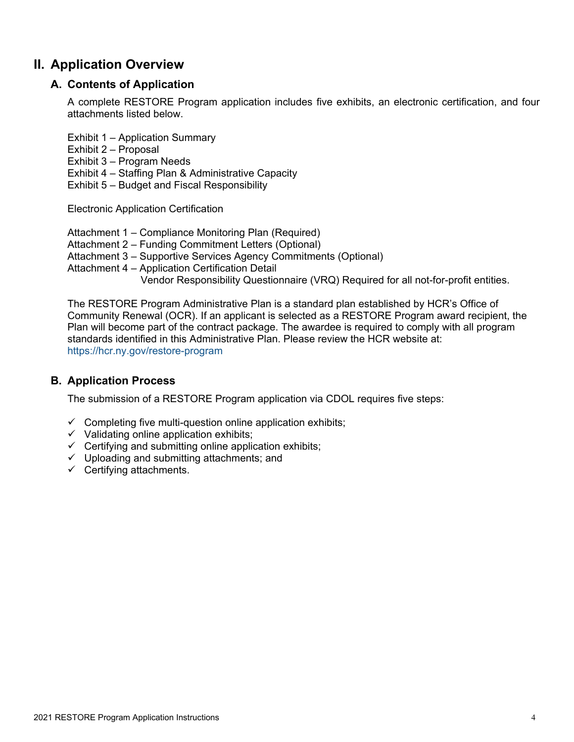# <span id="page-4-1"></span><span id="page-4-0"></span>**II. Application Overview**

# **A. Contents of Application**

A complete RESTORE Program application includes five exhibits, an electronic certification, and four attachments listed below.

- Exhibit 1 Application Summary
- Exhibit 2 Proposal
- Exhibit 3 Program Needs
- Exhibit 4 Staffing Plan & Administrative Capacity
- Exhibit 5 Budget and Fiscal Responsibility

Electronic Application Certification

- Attachment 1 Compliance Monitoring Plan (Required)
- Attachment 2 Funding Commitment Letters (Optional)
- Attachment 3 Supportive Services Agency Commitments (Optional)
- Attachment 4 Application Certification Detail
	- Vendor Responsibility Questionnaire (VRQ) Required for all not-for-profit entities.

The RESTORE Program Administrative Plan is a standard plan established by HCR's Office of Community Renewal (OCR). If an applicant is selected as a RESTORE Program award recipient, the Plan will become part of the contract package. The awardee is required to comply with all program standards identified in this Administrative Plan. Please review the HCR website at: <https://hcr.ny.gov/restore-program>

# <span id="page-4-2"></span>**B. Application Process**

The submission of a RESTORE Program application via CDOL requires five steps:

- $\checkmark$  Completing five multi-question online application exhibits;
- $\checkmark$  Validating online application exhibits;
- $\checkmark$  Certifying and submitting online application exhibits;
- $\checkmark$  Uploading and submitting attachments; and
- $\checkmark$  Certifying attachments.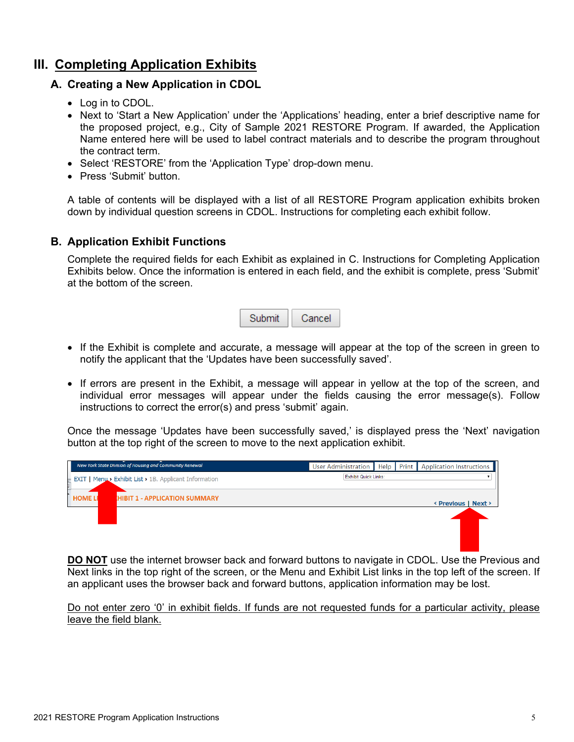# <span id="page-5-1"></span><span id="page-5-0"></span>**III. Completing Application Exhibits**

# **A. Creating a New Application in CDOL**

- Log in to CDOL.
- Next to 'Start a New Application' under the 'Applications' heading, enter a brief descriptive name for the proposed project, e.g., City of Sample 2021 RESTORE Program. If awarded, the Application Name entered here will be used to label contract materials and to describe the program throughout the contract term.
- Select 'RESTORE' from the 'Application Type' drop-down menu.
- Press 'Submit' button.

A table of contents will be displayed with a list of all RESTORE Program application exhibits broken down by individual question screens in CDOL. Instructions for completing each exhibit follow.

### <span id="page-5-2"></span>**B. Application Exhibit Functions**

Complete the required fields for each Exhibit as explained in C. Instructions for Completing Application Exhibits below. Once the information is entered in each field, and the exhibit is complete, press 'Submit' at the bottom of the screen.

| ıbmit | Cancel |
|-------|--------|
|-------|--------|

- If the Exhibit is complete and accurate, a message will appear at the top of the screen in green to notify the applicant that the 'Updates have been successfully saved'.
- If errors are present in the Exhibit, a message will appear in yellow at the top of the screen, and individual error messages will appear under the fields causing the error message(s). Follow instructions to correct the error(s) and press 'submit' again.

Once the message 'Updates have been successfully saved,' is displayed press the 'Next' navigation button at the top right of the screen to move to the next application exhibit.



**DO NOT** use the internet browser back and forward buttons to navigate in CDOL. Use the Previous and Next links in the top right of the screen, or the Menu and Exhibit List links in the top left of the screen. If an applicant uses the browser back and forward buttons, application information may be lost.

Do not enter zero '0' in exhibit fields. If funds are not requested funds for a particular activity, please leave the field blank.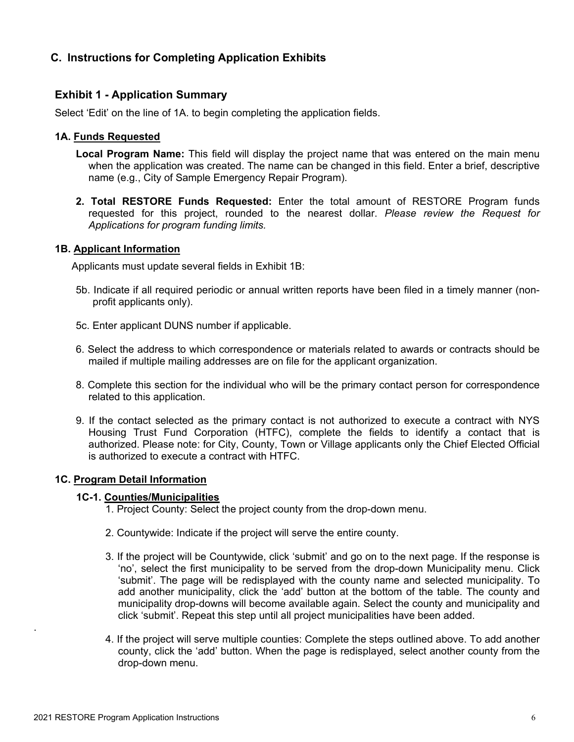# <span id="page-6-0"></span>**C. Instructions for Completing Application Exhibits**

#### <span id="page-6-1"></span>**Exhibit 1 - Application Summary**

Select 'Edit' on the line of 1A. to begin completing the application fields.

#### **1A. Funds Requested**

- **Local Program Name:** This field will display the project name that was entered on the main menu when the application was created. The name can be changed in this field. Enter a brief, descriptive name (e.g., City of Sample Emergency Repair Program).
- **2. Total RESTORE Funds Requested:** Enter the total amount of RESTORE Program funds requested for this project, rounded to the nearest dollar. *Please review the Request for Applications for program funding limits.*

#### **1B. Applicant Information**

Applicants must update several fields in Exhibit 1B:

- 5b. Indicate if all required periodic or annual written reports have been filed in a timely manner (nonprofit applicants only).
- 5c. Enter applicant DUNS number if applicable.
- 6. Select the address to which correspondence or materials related to awards or contracts should be mailed if multiple mailing addresses are on file for the applicant organization.
- 8. Complete this section for the individual who will be the primary contact person for correspondence related to this application.
- 9. If the contact selected as the primary contact is not authorized to execute a contract with NYS Housing Trust Fund Corporation (HTFC), complete the fields to identify a contact that is authorized. Please note: for City, County, Town or Village applicants only the Chief Elected Official is authorized to execute a contract with HTFC.

#### **1C. Program Detail Information**

#### **1C-1. Counties/Municipalities**

- 1. Project County: Select the project county from the drop-down menu.
- 2. Countywide: Indicate if the project will serve the entire county.
- 3. If the project will be Countywide, click 'submit' and go on to the next page. If the response is 'no', select the first municipality to be served from the drop-down Municipality menu. Click 'submit'. The page will be redisplayed with the county name and selected municipality. To add another municipality, click the 'add' button at the bottom of the table. The county and municipality drop-downs will become available again. Select the county and municipality and click 'submit'. Repeat this step until all project municipalities have been added.
- 4. If the project will serve multiple counties: Complete the steps outlined above. To add another county, click the 'add' button. When the page is redisplayed, select another county from the drop-down menu.

.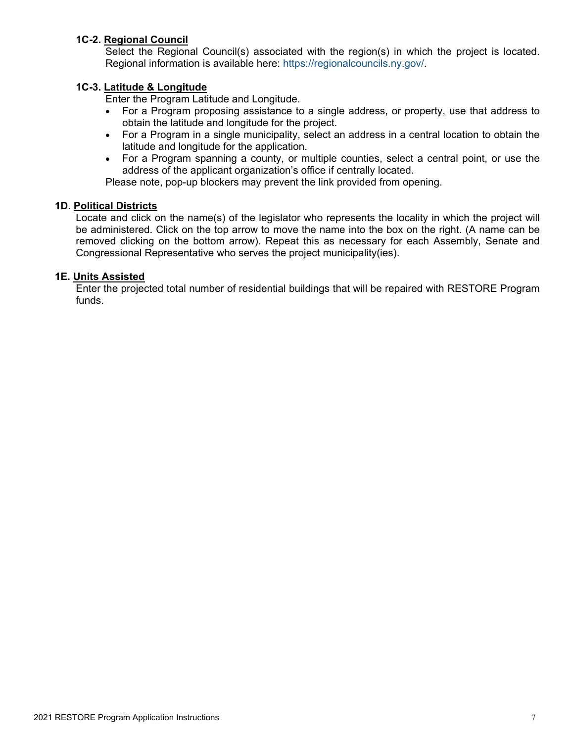#### **1C-2. Regional Council**

Select the Regional Council(s) associated with the region(s) in which the project is located. Regional information is available here: [https://regionalcouncils.ny.gov/.](https://regionalcouncils.ny.gov/)

#### **1C-3. Latitude & Longitude**

Enter the Program Latitude and Longitude.

- For a Program proposing assistance to a single address, or property, use that address to obtain the latitude and longitude for the project.
- For a Program in a single municipality, select an address in a central location to obtain the latitude and longitude for the application.
- For a Program spanning a county, or multiple counties, select a central point, or use the address of the applicant organization's office if centrally located.

Please note, pop-up blockers may prevent the link provided from opening.

#### **1D. Political Districts**

Locate and click on the name(s) of the legislator who represents the locality in which the project will be administered. Click on the top arrow to move the name into the box on the right. (A name can be removed clicking on the bottom arrow). Repeat this as necessary for each Assembly, Senate and Congressional Representative who serves the project municipality(ies).

#### **1E. Units Assisted**

Enter the projected total number of residential buildings that will be repaired with RESTORE Program funds.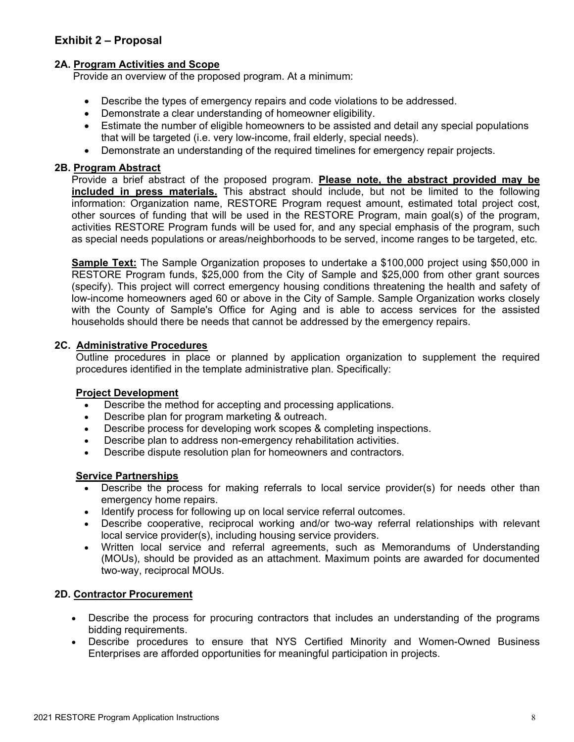# <span id="page-8-0"></span>**Exhibit 2 – Proposal**

#### **2A. Program Activities and Scope**

Provide an overview of the proposed program. At a minimum:

- Describe the types of emergency repairs and code violations to be addressed.
- Demonstrate a clear understanding of homeowner eligibility.
- Estimate the number of eligible homeowners to be assisted and detail any special populations that will be targeted (i.e. very low-income, frail elderly, special needs).
- Demonstrate an understanding of the required timelines for emergency repair projects.

#### **2B. Program Abstract**

Provide a brief abstract of the proposed program. **Please note, the abstract provided may be included in press materials.** This abstract should include, but not be limited to the following information: Organization name, RESTORE Program request amount, estimated total project cost, other sources of funding that will be used in the RESTORE Program, main goal(s) of the program, activities RESTORE Program funds will be used for, and any special emphasis of the program, such as special needs populations or areas/neighborhoods to be served, income ranges to be targeted, etc.

**Sample Text:** The Sample Organization proposes to undertake a \$100,000 project using \$50,000 in RESTORE Program funds, \$25,000 from the City of Sample and \$25,000 from other grant sources (specify). This project will correct emergency housing conditions threatening the health and safety of low-income homeowners aged 60 or above in the City of Sample. Sample Organization works closely with the County of Sample's Office for Aging and is able to access services for the assisted households should there be needs that cannot be addressed by the emergency repairs.

#### **2C. Administrative Procedures**

Outline procedures in place or planned by application organization to supplement the required procedures identified in the template administrative plan. Specifically:

#### **Project Development**

- Describe the method for accepting and processing applications.
- Describe plan for program marketing & outreach.
- Describe process for developing work scopes & completing inspections.
- Describe plan to address non-emergency rehabilitation activities.
- Describe dispute resolution plan for homeowners and contractors.

#### **Service Partnerships**

- Describe the process for making referrals to local service provider(s) for needs other than emergency home repairs.
- Identify process for following up on local service referral outcomes.
- Describe cooperative, reciprocal working and/or two-way referral relationships with relevant local service provider(s), including housing service providers.
- Written local service and referral agreements, such as Memorandums of Understanding (MOUs), should be provided as an attachment. Maximum points are awarded for documented two-way, reciprocal MOUs.

#### **2D. Contractor Procurement**

- Describe the process for procuring contractors that includes an understanding of the programs bidding requirements.
- Describe procedures to ensure that NYS Certified Minority and Women-Owned Business Enterprises are afforded opportunities for meaningful participation in projects.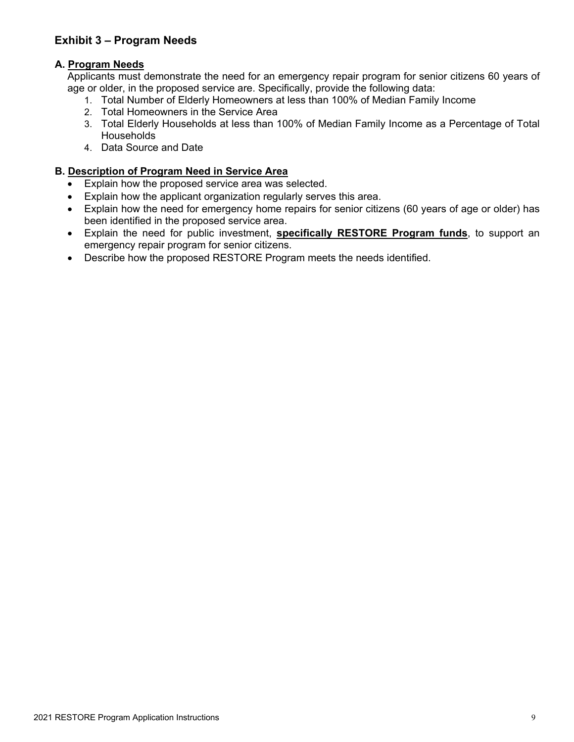# <span id="page-9-0"></span>**Exhibit 3 – Program Needs**

### **A. Program Needs**

Applicants must demonstrate the need for an emergency repair program for senior citizens 60 years of age or older, in the proposed service are. Specifically, provide the following data:

- 1. Total Number of Elderly Homeowners at less than 100% of Median Family Income
- 2. Total Homeowners in the Service Area
- 3. Total Elderly Households at less than 100% of Median Family Income as a Percentage of Total **Households**
- 4. Data Source and Date

#### **B. Description of Program Need in Service Area**

- Explain how the proposed service area was selected.
- Explain how the applicant organization regularly serves this area.
- Explain how the need for emergency home repairs for senior citizens (60 years of age or older) has been identified in the proposed service area.
- Explain the need for public investment, **specifically RESTORE Program funds**, to support an emergency repair program for senior citizens.
- Describe how the proposed RESTORE Program meets the needs identified.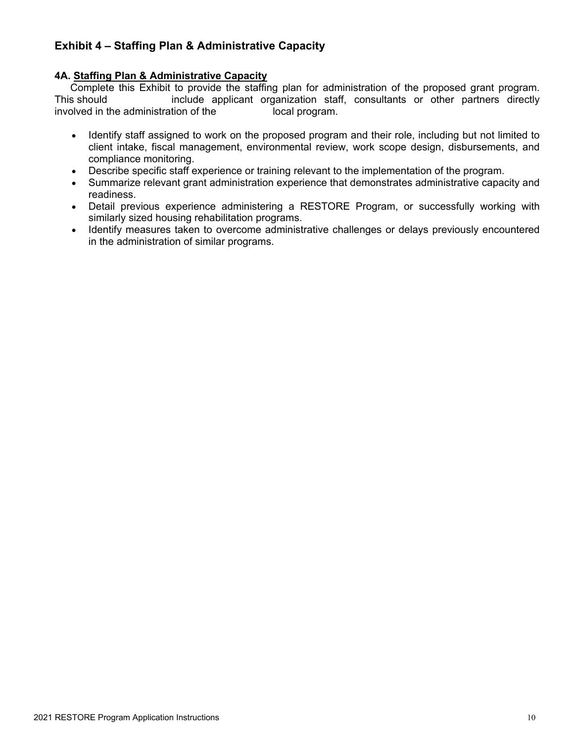# <span id="page-10-0"></span>**Exhibit 4 – Staffing Plan & Administrative Capacity**

#### **4A. Staffing Plan & Administrative Capacity**

Complete this Exhibit to provide the staffing plan for administration of the proposed grant program. This should include applicant organization staff, consultants or other partners directly involved in the administration of the local program.

- Identify staff assigned to work on the proposed program and their role, including but not limited to client intake, fiscal management, environmental review, work scope design, disbursements, and compliance monitoring.
- Describe specific staff experience or training relevant to the implementation of the program.
- Summarize relevant grant administration experience that demonstrates administrative capacity and readiness.
- Detail previous experience administering a RESTORE Program, or successfully working with similarly sized housing rehabilitation programs.
- Identify measures taken to overcome administrative challenges or delays previously encountered in the administration of similar programs.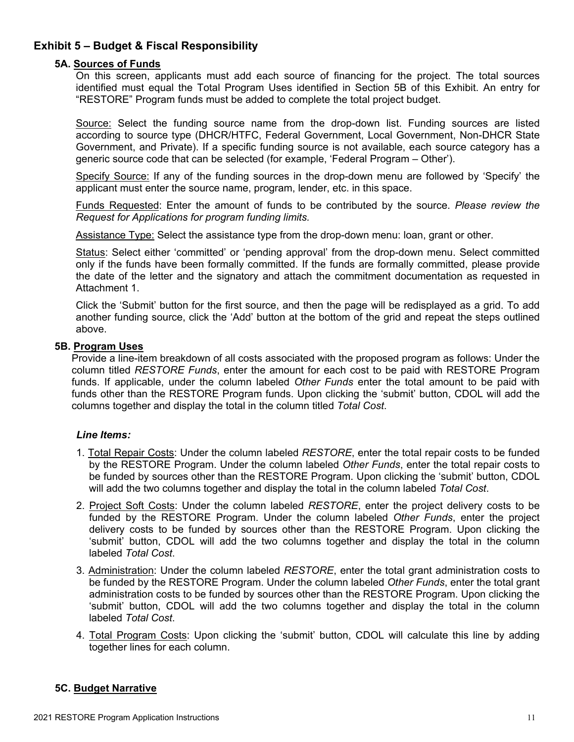# <span id="page-11-0"></span>**Exhibit 5 – Budget & Fiscal Responsibility**

#### **5A. Sources of Funds**

On this screen, applicants must add each source of financing for the project. The total sources identified must equal the Total Program Uses identified in Section 5B of this Exhibit. An entry for "RESTORE" Program funds must be added to complete the total project budget.

Source: Select the funding source name from the drop-down list. Funding sources are listed according to source type (DHCR/HTFC, Federal Government, Local Government, Non-DHCR State Government, and Private). If a specific funding source is not available, each source category has a generic source code that can be selected (for example, 'Federal Program – Other').

Specify Source: If any of the funding sources in the drop-down menu are followed by 'Specify' the applicant must enter the source name, program, lender, etc. in this space.

Funds Requested: Enter the amount of funds to be contributed by the source. *Please review the Request for Applications for program funding limits.*

Assistance Type: Select the assistance type from the drop-down menu: loan, grant or other.

Status: Select either 'committed' or 'pending approval' from the drop-down menu. Select committed only if the funds have been formally committed. If the funds are formally committed, please provide the date of the letter and the signatory and attach the commitment documentation as requested in Attachment 1.

Click the 'Submit' button for the first source, and then the page will be redisplayed as a grid. To add another funding source, click the 'Add' button at the bottom of the grid and repeat the steps outlined above.

#### **5B. Program Uses**

Provide a line-item breakdown of all costs associated with the proposed program as follows: Under the column titled *RESTORE Funds*, enter the amount for each cost to be paid with RESTORE Program funds. If applicable, under the column labeled *Other Funds* enter the total amount to be paid with funds other than the RESTORE Program funds. Upon clicking the 'submit' button, CDOL will add the columns together and display the total in the column titled *Total Cost*.

#### *Line Items:*

- 1. Total Repair Costs: Under the column labeled *RESTORE*, enter the total repair costs to be funded by the RESTORE Program. Under the column labeled *Other Funds*, enter the total repair costs to be funded by sources other than the RESTORE Program. Upon clicking the 'submit' button, CDOL will add the two columns together and display the total in the column labeled *Total Cost*.
- 2. Project Soft Costs: Under the column labeled *RESTORE*, enter the project delivery costs to be funded by the RESTORE Program. Under the column labeled *Other Funds*, enter the project delivery costs to be funded by sources other than the RESTORE Program. Upon clicking the 'submit' button, CDOL will add the two columns together and display the total in the column labeled *Total Cost*.
- 3. Administration: Under the column labeled *RESTORE*, enter the total grant administration costs to be funded by the RESTORE Program. Under the column labeled *Other Funds*, enter the total grant administration costs to be funded by sources other than the RESTORE Program. Upon clicking the 'submit' button, CDOL will add the two columns together and display the total in the column labeled *Total Cost*.
- 4. Total Program Costs: Upon clicking the 'submit' button, CDOL will calculate this line by adding together lines for each column.

#### **5C. Budget Narrative**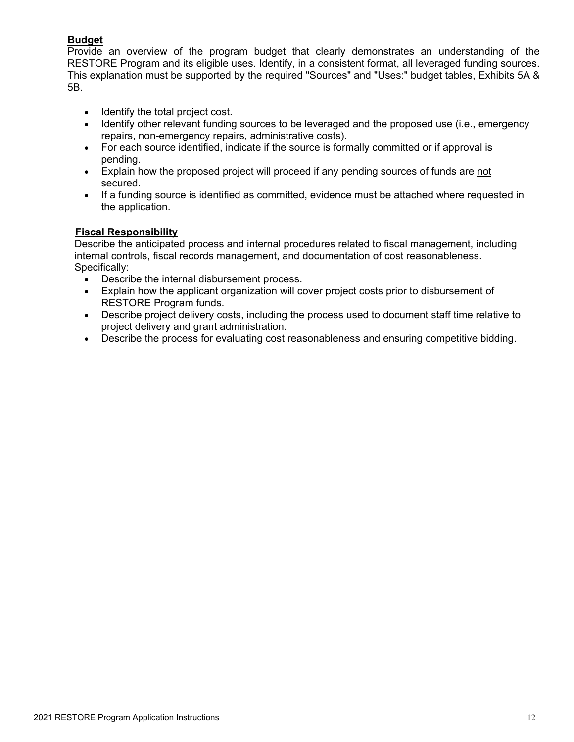# **Budget**

Provide an overview of the program budget that clearly demonstrates an understanding of the RESTORE Program and its eligible uses. Identify, in a consistent format, all leveraged funding sources. This explanation must be supported by the required "Sources" and "Uses:" budget tables, Exhibits 5A & 5B.

- Identify the total project cost.
- Identify other relevant funding sources to be leveraged and the proposed use (i.e., emergency repairs, non-emergency repairs, administrative costs).
- For each source identified, indicate if the source is formally committed or if approval is pending.
- Explain how the proposed project will proceed if any pending sources of funds are not secured.
- If a funding source is identified as committed, evidence must be attached where requested in the application.

#### **Fiscal Responsibility**

Describe the anticipated process and internal procedures related to fiscal management, including internal controls, fiscal records management, and documentation of cost reasonableness. Specifically:

- Describe the internal disbursement process.
- Explain how the applicant organization will cover project costs prior to disbursement of RESTORE Program funds.
- Describe project delivery costs, including the process used to document staff time relative to project delivery and grant administration.
- Describe the process for evaluating cost reasonableness and ensuring competitive bidding.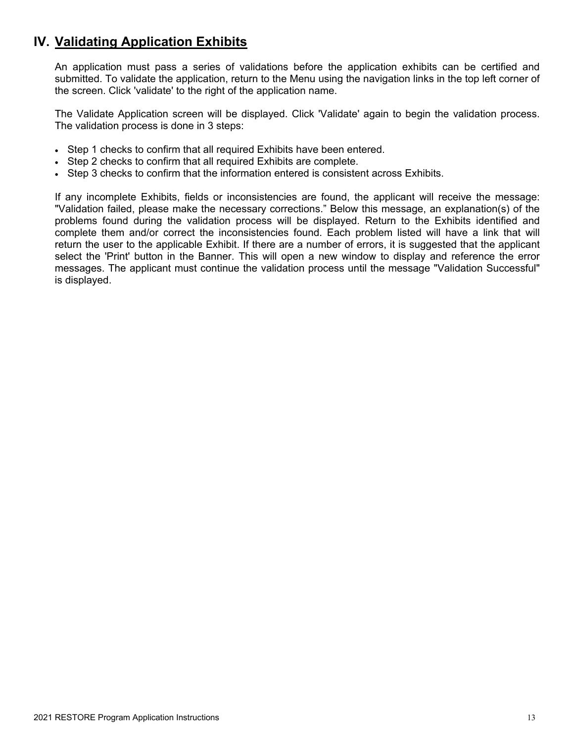# <span id="page-13-0"></span>**IV. Validating Application Exhibits**

An application must pass a series of validations before the application exhibits can be certified and submitted. To validate the application, return to the Menu using the navigation links in the top left corner of the screen. Click 'validate' to the right of the application name.

The Validate Application screen will be displayed. Click 'Validate' again to begin the validation process. The validation process is done in 3 steps:

- Step 1 checks to confirm that all required Exhibits have been entered.
- Step 2 checks to confirm that all required Exhibits are complete.
- Step 3 checks to confirm that the information entered is consistent across Exhibits.

If any incomplete Exhibits, fields or inconsistencies are found, the applicant will receive the message: "Validation failed, please make the necessary corrections." Below this message, an explanation(s) of the problems found during the validation process will be displayed. Return to the Exhibits identified and complete them and/or correct the inconsistencies found. Each problem listed will have a link that will return the user to the applicable Exhibit. If there are a number of errors, it is suggested that the applicant select the 'Print' button in the Banner. This will open a new window to display and reference the error messages. The applicant must continue the validation process until the message "Validation Successful" is displayed.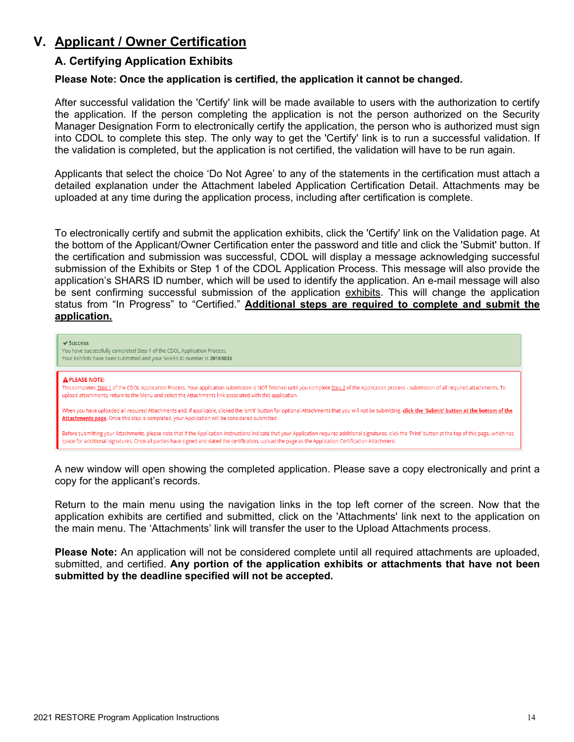# <span id="page-14-1"></span><span id="page-14-0"></span>**V. Applicant / Owner Certification**

### **A. Certifying Application Exhibits**

#### **Please Note: Once the application is certified, the application it cannot be changed.**

After successful validation the 'Certify' link will be made available to users with the authorization to certify the application. If the person completing the application is not the person authorized on the Security Manager Designation Form to electronically certify the application, the person who is authorized must sign into CDOL to complete this step. The only way to get the 'Certify' link is to run a successful validation. If the validation is completed, but the application is not certified, the validation will have to be run again.

Applicants that select the choice 'Do Not Agree' to any of the statements in the certification must attach a detailed explanation under the Attachment labeled Application Certification Detail. Attachments may be uploaded at any time during the application process, including after certification is complete.

To electronically certify and submit the application exhibits, click the 'Certify' link on the Validation page. At the bottom of the Applicant/Owner Certification enter the password and title and click the 'Submit' button. If the certification and submission was successful, CDOL will display a message acknowledging successful submission of the Exhibits or Step 1 of the CDOL Application Process. This message will also provide the application's SHARS ID number, which will be used to identify the application. An e-mail message will also be sent confirming successful submission of the application exhibits. This will change the application status from "In Progress" to "Certified." **Additional steps are required to complete and submit the application.**

| $\vee$ Success<br>You have successfully completed Step 1 of the CDOL Application Process.<br>Your Exhibits have been submitted and your SHARS ID number is 20183033                                                                                                                                                                                                        |
|----------------------------------------------------------------------------------------------------------------------------------------------------------------------------------------------------------------------------------------------------------------------------------------------------------------------------------------------------------------------------|
| <b>A PLEASE NOTE:</b><br>This completes Step 1 of the CDOL Application Process. Your application submission is NOT finished until you complete Step 2 of the Application process - submission of all required attachments. To<br>upload attachments, return to the Menu and select the Attachments link associated with this application.                                  |
| When you have uploaded all required Attachments and, if applicable, clicked the 'omit' button for optional Attachments that you will not be submitting, click the 'Submit' button at the bottom of the<br>Attachments page. Once this step is completed, your Application will be considered submitted.                                                                    |
| Before submitting your Attachments, please note that if the Application Instructions indicate that your Application requires additional signatures, click the 'Print' button at the top of this page, which has<br>space for additional signatures. Once all parties have signed and dated the certification, upload the page as the Application Certification Attachment. |

A new window will open showing the completed application. Please save a copy electronically and print a copy for the applicant's records.

Return to the main menu using the navigation links in the top left corner of the screen. Now that the application exhibits are certified and submitted, click on the 'Attachments' link next to the application on the main menu. The 'Attachments' link will transfer the user to the Upload Attachments process.

**Please Note:** An application will not be considered complete until all required attachments are uploaded, submitted, and certified. **Any portion of the application exhibits or attachments that have not been submitted by the deadline specified will not be accepted.**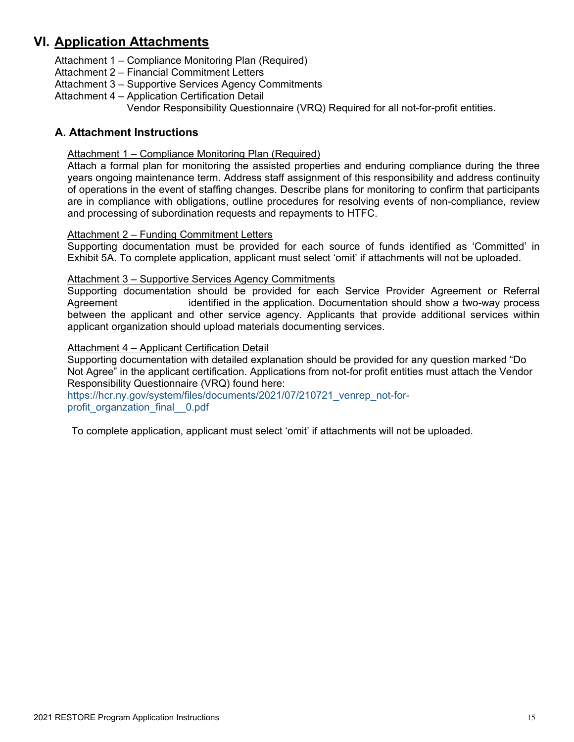# <span id="page-15-0"></span>**VI. Application Attachments**

- Attachment 1 Compliance Monitoring Plan (Required)
- Attachment 2 Financial Commitment Letters
- Attachment 3 Supportive Services Agency Commitments
- Attachment 4 Application Certification Detail

Vendor Responsibility Questionnaire (VRQ) Required for all not-for-profit entities.

# <span id="page-15-1"></span>**A. Attachment Instructions**

#### Attachment 1 – Compliance Monitoring Plan (Required)

Attach a formal plan for monitoring the assisted properties and enduring compliance during the three years ongoing maintenance term. Address staff assignment of this responsibility and address continuity of operations in the event of staffing changes. Describe plans for monitoring to confirm that participants are in compliance with obligations, outline procedures for resolving events of non-compliance, review and processing of subordination requests and repayments to HTFC.

#### <span id="page-15-2"></span>Attachment 2 – Funding Commitment Letters

Supporting documentation must be provided for each source of funds identified as 'Committed' in Exhibit 5A. To complete application, applicant must select 'omit' if attachments will not be uploaded.

#### <span id="page-15-3"></span>Attachment 3 – Supportive Services Agency Commitments

Supporting documentation should be provided for each Service Provider Agreement or Referral Agreement identified in the application. Documentation should show a two-way process between the applicant and other service agency. Applicants that provide additional services within applicant organization should upload materials documenting services.

#### <span id="page-15-4"></span>Attachment 4 – Applicant Certification Detail

Supporting documentation with detailed explanation should be provided for any question marked "Do Not Agree" in the applicant certification. Applications from not-for profit entities must attach the Vendor Responsibility Questionnaire (VRQ) found here:

[https://hcr.ny.gov/system/files/documents/2021/07/210721\\_venrep\\_not-for](https://hcr.ny.gov/system/files/documents/2021/07/210721_venrep_not-for-profit_organzation_final__0.pdf)profit\_organzation\_final\_0.pdf

To complete application, applicant must select 'omit' if attachments will not be uploaded.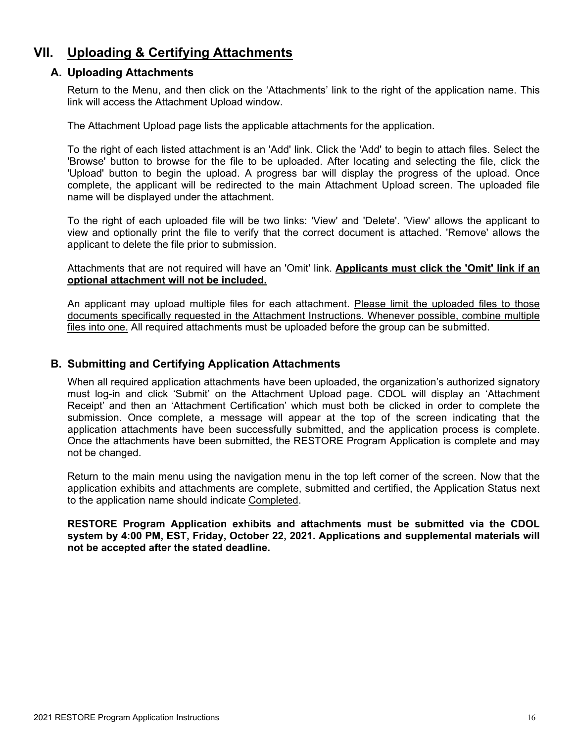# <span id="page-16-1"></span><span id="page-16-0"></span>**VII. Uploading & Certifying Attachments**

#### **A. Uploading Attachments**

Return to the Menu, and then click on the 'Attachments' link to the right of the application name. This link will access the Attachment Upload window.

The Attachment Upload page lists the applicable attachments for the application.

To the right of each listed attachment is an 'Add' link. Click the 'Add' to begin to attach files. Select the 'Browse' button to browse for the file to be uploaded. After locating and selecting the file, click the 'Upload' button to begin the upload. A progress bar will display the progress of the upload. Once complete, the applicant will be redirected to the main Attachment Upload screen. The uploaded file name will be displayed under the attachment.

To the right of each uploaded file will be two links: 'View' and 'Delete'. 'View' allows the applicant to view and optionally print the file to verify that the correct document is attached. 'Remove' allows the applicant to delete the file prior to submission.

Attachments that are not required will have an 'Omit' link. **Applicants must click the 'Omit' link if an optional attachment will not be included.**

An applicant may upload multiple files for each attachment. Please limit the uploaded files to those documents specifically requested in the Attachment Instructions. Whenever possible, combine multiple files into one. All required attachments must be uploaded before the group can be submitted.

### <span id="page-16-2"></span>**B. Submitting and Certifying Application Attachments**

When all required application attachments have been uploaded, the organization's authorized signatory must log-in and click 'Submit' on the Attachment Upload page. CDOL will display an 'Attachment Receipt' and then an 'Attachment Certification' which must both be clicked in order to complete the submission. Once complete, a message will appear at the top of the screen indicating that the application attachments have been successfully submitted, and the application process is complete. Once the attachments have been submitted, the RESTORE Program Application is complete and may not be changed.

Return to the main menu using the navigation menu in the top left corner of the screen. Now that the application exhibits and attachments are complete, submitted and certified, the Application Status next to the application name should indicate Completed.

#### **RESTORE Program Application exhibits and attachments must be submitted via the CDOL system by 4:00 PM, EST, Friday, October 22, 2021. Applications and supplemental materials will not be accepted after the stated deadline.**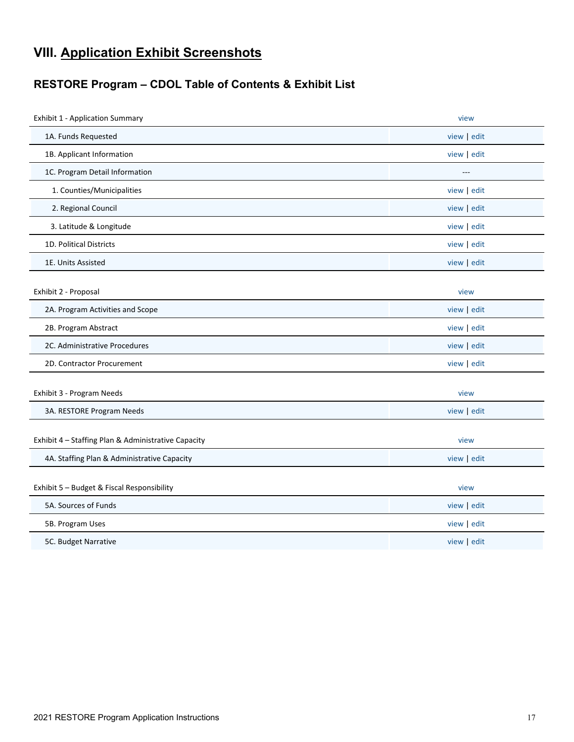# <span id="page-17-0"></span>**VIII. Application Exhibit Screenshots**

# <span id="page-17-1"></span>**RESTORE Program – CDOL Table of Contents & Exhibit List**

| <b>Exhibit 1 - Application Summary</b>              | view        |
|-----------------------------------------------------|-------------|
| 1A. Funds Requested                                 | view edit   |
| 1B. Applicant Information                           | view edit   |
| 1C. Program Detail Information                      | ---         |
| 1. Counties/Municipalities                          | view edit   |
| 2. Regional Council                                 | view edit   |
| 3. Latitude & Longitude                             | view edit   |
| 1D. Political Districts                             | view edit   |
| 1E. Units Assisted                                  | view edit   |
|                                                     |             |
| Exhibit 2 - Proposal                                | view        |
| 2A. Program Activities and Scope                    | view edit   |
| 2B. Program Abstract                                | view edit   |
| 2C. Administrative Procedures                       | view edit   |
| 2D. Contractor Procurement                          | view edit   |
|                                                     |             |
| Exhibit 3 - Program Needs                           | view        |
| 3A. RESTORE Program Needs                           | view   edit |
|                                                     |             |
| Exhibit 4 - Staffing Plan & Administrative Capacity | view        |
| 4A. Staffing Plan & Administrative Capacity         | view edit   |
|                                                     |             |
| Exhibit 5 - Budget & Fiscal Responsibility          | view        |
| 5A. Sources of Funds                                | view edit   |
| 5B. Program Uses                                    | view edit   |
| 5C. Budget Narrative                                | view   edit |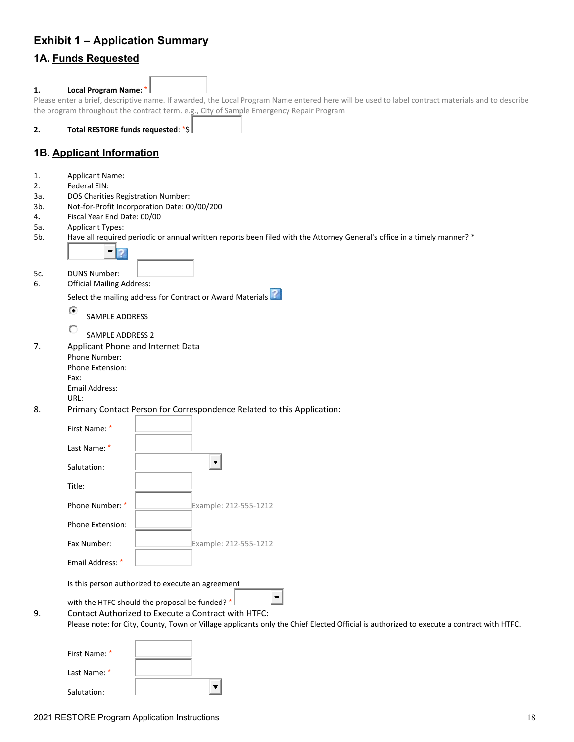# <span id="page-18-0"></span>**Exhibit 1 – Application Summary**

# **1A. Funds Requested**

# **1. Local Program Name:** \*

Please enter a brief, descriptive name. If awarded, the Local Program Name entered here will be used to label contract materials and to describe the program throughout the contract term. e.g., City of Sample Emergency Repair Program

**2. Total RESTORE funds requested**: \*\$

# **1B. Applicant Information**

- 1. Applicant Name:
- 2. Federal EIN:
- 3a. DOS Charities Registration Number:
- 3b. Not-for-Profit Incorporation Date: 00/00/200
- 4**.** Fiscal Year End Date: 00/00
- 5a. Applicant Types:
- 5b. Have all required periodic or annual written reports been filed with the Attorney General's office in a timely manner? \*



5c. DUNS Number:

6. Official Mailing Address:

Selectthe mailing address for Contract or Award Materials<sup>?</sup>

G SAMPLE ADDRESS

О SAMPLE ADDRESS 2

7. Applicant Phone and Internet Data

Phone Number: Phone Extension: Fax:

Email Address:

- URL:
- 8. Primary Contact Person for Correspondence Related to this Application:

| First Name: *                                     |                       |  |
|---------------------------------------------------|-----------------------|--|
| Last Name: *                                      |                       |  |
| Salutation:                                       |                       |  |
| Title:                                            |                       |  |
| Phone Number: *                                   | Example: 212-555-1212 |  |
| Phone Extension:                                  |                       |  |
| Fax Number:                                       | Example: 212-555-1212 |  |
| Email Address: *                                  |                       |  |
| Is this person authorized to execute an agreement |                       |  |
|                                                   | .                     |  |

with the HTFC should the proposal be funded?  $*$ 

9. Contact Authorized to Execute a Contract with HTFC:

Please note: for City, County, Town or Village applicants only the Chief Elected Official is authorized to execute a contract with HTFC.

| First Name: * |  |
|---------------|--|
| Last Name: *  |  |
| Salutation:   |  |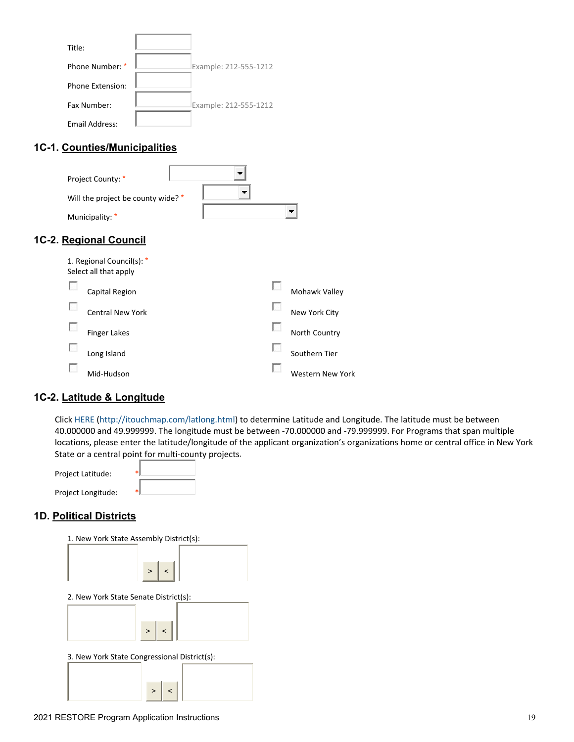| Title:           |                       |
|------------------|-----------------------|
| Phone Number: *  | Example: 212-555-1212 |
| Phone Extension: |                       |
| Fax Number:      | Example: 212-555-1212 |
| Email Address:   |                       |

# **1C-1. Counties/Municipalities**

| Project County: *<br>Will the project be county wide? *<br>Municipality: *   |  | $\overline{\phantom{a}}$ |
|------------------------------------------------------------------------------|--|--------------------------|
| 1C-2. Regional Council<br>1. Regional Council(s): *<br>Select all that apply |  |                          |
| Capital Region                                                               |  | Mohawk Valley            |
| <b>Central New York</b>                                                      |  | New York City            |
| <b>Finger Lakes</b>                                                          |  | North Country            |
| Long Island                                                                  |  | Southern Tier            |

Mid-Hudson Western New York

# **1C-2. Latitude & Longitude**

 $\overline{\mathcal{L}_{\mathcal{A}}}$ 

Click [HERE](http://itouchmap.com/latlong.html) [\(http://itouchmap.com/latlong.html\)](http://itouchmap.com/latlong.html) to determine Latitude and Longitude. The latitude must be between 40.000000 and 49.999999. The longitude must be between -70.000000 and -79.999999. For Programs that span multiple locations, please enter the latitude/longitude of the applicant organization's organizations home or central office in New York State or a central point for multi-county projects.

| Project Latitude:  |  |
|--------------------|--|
| Project Longitude: |  |

# **1D. Political Districts**

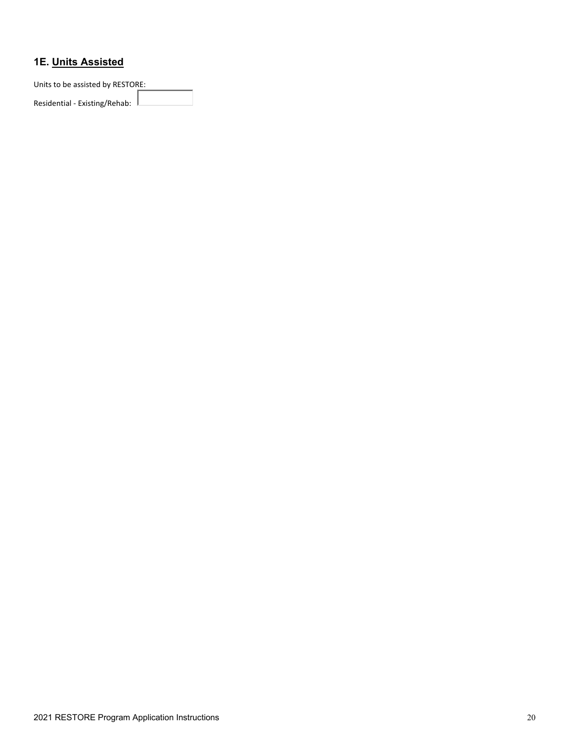# **1E. Units Assisted**

Units to be assisted by RESTORE:

Residential - Existing/Rehab: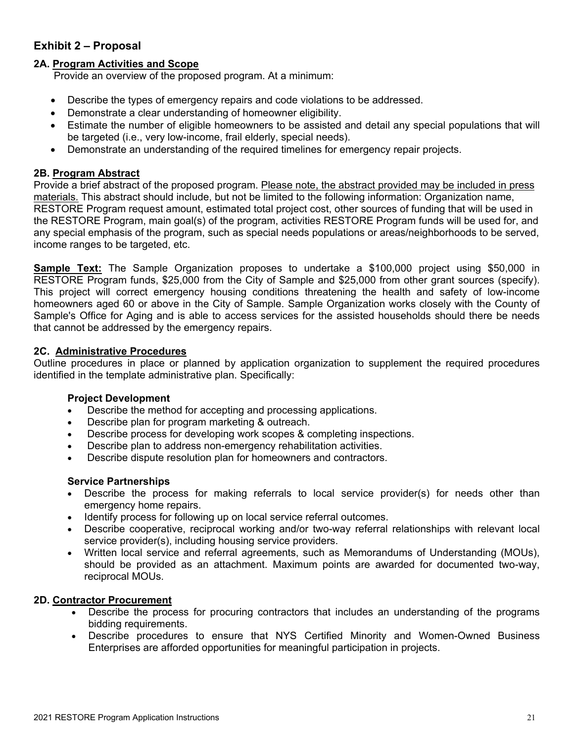# <span id="page-21-0"></span>**Exhibit 2 – Proposal**

### **2A. Program Activities and Scope**

Provide an overview of the proposed program. At a minimum:

- Describe the types of emergency repairs and code violations to be addressed.
- Demonstrate a clear understanding of homeowner eligibility.
- Estimate the number of eligible homeowners to be assisted and detail any special populations that will be targeted (i.e., very low-income, frail elderly, special needs).
- Demonstrate an understanding of the required timelines for emergency repair projects.

#### **2B. Program Abstract**

Provide a brief abstract of the proposed program. Please note, the abstract provided may be included in press materials. This abstract should include, but not be limited to the following information: Organization name, RESTORE Program request amount, estimated total project cost, other sources of funding that will be used in the RESTORE Program, main goal(s) of the program, activities RESTORE Program funds will be used for, and any special emphasis of the program, such as special needs populations or areas/neighborhoods to be served, income ranges to be targeted, etc.

**Sample Text:** The Sample Organization proposes to undertake a \$100,000 project using \$50,000 in RESTORE Program funds, \$25,000 from the City of Sample and \$25,000 from other grant sources (specify). This project will correct emergency housing conditions threatening the health and safety of low-income homeowners aged 60 or above in the City of Sample. Sample Organization works closely with the County of Sample's Office for Aging and is able to access services for the assisted households should there be needs that cannot be addressed by the emergency repairs.

#### **2C. Administrative Procedures**

Outline procedures in place or planned by application organization to supplement the required procedures identified in the template administrative plan. Specifically:

#### **Project Development**

- Describe the method for accepting and processing applications.
- Describe plan for program marketing & outreach.
- Describe process for developing work scopes & completing inspections.
- Describe plan to address non-emergency rehabilitation activities.
- Describe dispute resolution plan for homeowners and contractors.

#### **Service Partnerships**

- Describe the process for making referrals to local service provider(s) for needs other than emergency home repairs.
- Identify process for following up on local service referral outcomes.
- Describe cooperative, reciprocal working and/or two-way referral relationships with relevant local service provider(s), including housing service providers.
- Written local service and referral agreements, such as Memorandums of Understanding (MOUs), should be provided as an attachment. Maximum points are awarded for documented two-way, reciprocal MOUs.

#### **2D. Contractor Procurement**

- Describe the process for procuring contractors that includes an understanding of the programs bidding requirements.
- Describe procedures to ensure that NYS Certified Minority and Women-Owned Business Enterprises are afforded opportunities for meaningful participation in projects.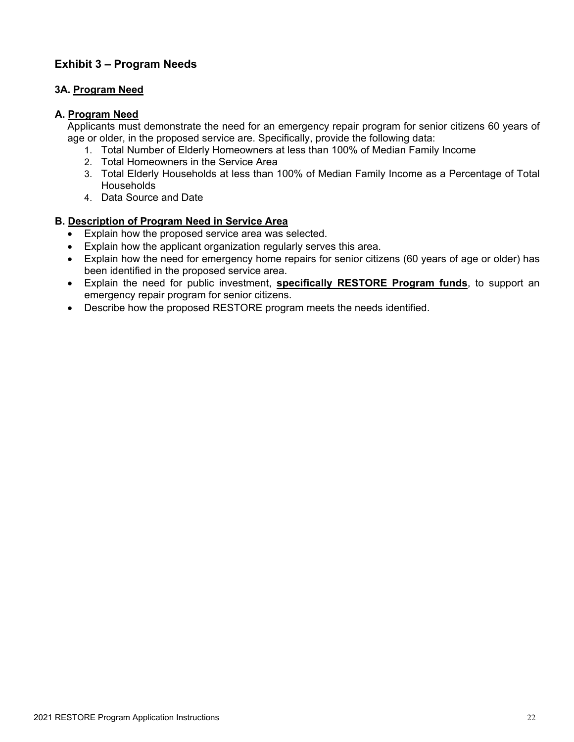# <span id="page-22-0"></span>**Exhibit 3 – Program Needs**

# **3A. Program Need**

#### **A. Program Need**

Applicants must demonstrate the need for an emergency repair program for senior citizens 60 years of age or older, in the proposed service are. Specifically, provide the following data:

- 1. Total Number of Elderly Homeowners at less than 100% of Median Family Income
- 2. Total Homeowners in the Service Area
- 3. Total Elderly Households at less than 100% of Median Family Income as a Percentage of Total **Households**
- 4. Data Source and Date

#### **B. Description of Program Need in Service Area**

- Explain how the proposed service area was selected.
- Explain how the applicant organization regularly serves this area.
- Explain how the need for emergency home repairs for senior citizens (60 years of age or older) has been identified in the proposed service area.
- Explain the need for public investment, **specifically RESTORE Program funds**, to support an emergency repair program for senior citizens.
- Describe how the proposed RESTORE program meets the needs identified.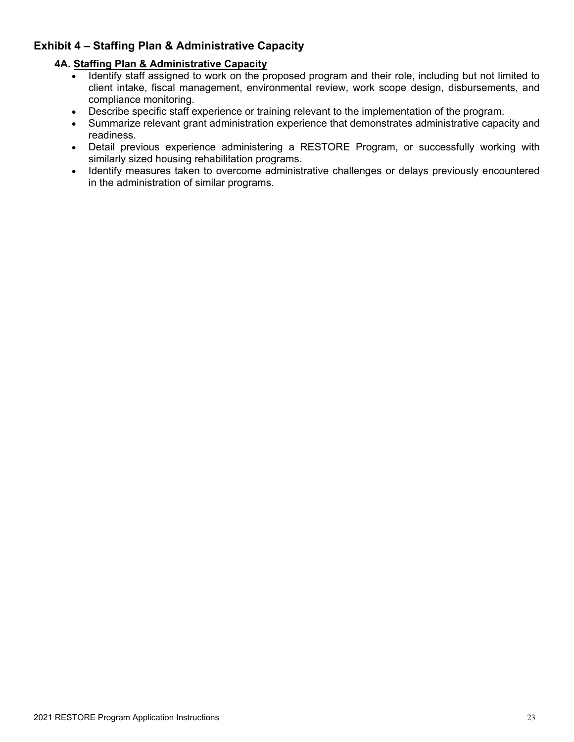# <span id="page-23-0"></span>**Exhibit 4 – Staffing Plan & Administrative Capacity**

# **4A. Staffing Plan & Administrative Capacity**

- Identify staff assigned to work on the proposed program and their role, including but not limited to client intake, fiscal management, environmental review, work scope design, disbursements, and compliance monitoring.
- Describe specific staff experience or training relevant to the implementation of the program.<br>• Summarize relevant grant administration experience that demonstrates administrative capad
- Summarize relevant grant administration experience that demonstrates administrative capacity and readiness.
- Detail previous experience administering a RESTORE Program, or successfully working with similarly sized housing rehabilitation programs.
- Identify measures taken to overcome administrative challenges or delays previously encountered in the administration of similar programs.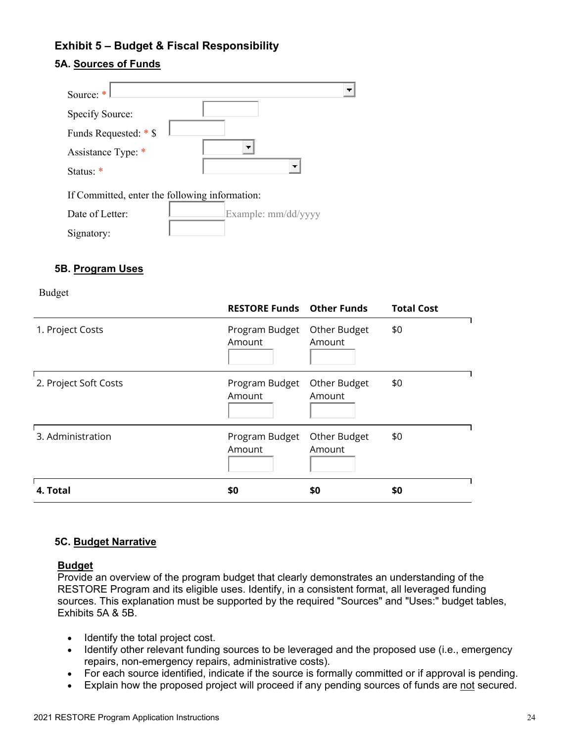# <span id="page-24-0"></span>**Exhibit 5 – Budget & Fiscal Responsibility**

### **5A. Sources of Funds**

| Source: $*$                                    |                          |
|------------------------------------------------|--------------------------|
| Specify Source:                                |                          |
| Funds Requested: * \$                          |                          |
| Assistance Type: *                             |                          |
| Status: *                                      | $\overline{\phantom{a}}$ |
| If Committed, enter the following information: |                          |
| Date of Letter:                                | Example: mm/dd/yyyy      |
| Sianatory                                      |                          |

#### **5B. Program Uses**

Signatory:

Budget

|                       | <b>RESTORE Funds Other Funds</b> |                        | <b>Total Cost</b> |
|-----------------------|----------------------------------|------------------------|-------------------|
| 1. Project Costs      | Program Budget<br>Amount         | Other Budget<br>Amount | \$0               |
| 2. Project Soft Costs | Program Budget<br>Amount         | Other Budget<br>Amount | \$0               |
| 3. Administration     | Program Budget<br>Amount         | Other Budget<br>Amount | \$0               |
| 4. Total              | \$0                              | \$0                    | \$0               |

#### **5C. Budget Narrative**

#### **Budget**

Provide an overview of the program budget that clearly demonstrates an understanding of the RESTORE Program and its eligible uses. Identify, in a consistent format, all leveraged funding sources. This explanation must be supported by the required "Sources" and "Uses:" budget tables, Exhibits 5A & 5B.

- Identify the total project cost.
- Identify other relevant funding sources to be leveraged and the proposed use (i.e., emergency repairs, non-emergency repairs, administrative costs).
- For each source identified, indicate if the source is formally committed or if approval is pending.
- Explain how the proposed project will proceed if any pending sources of funds are not secured.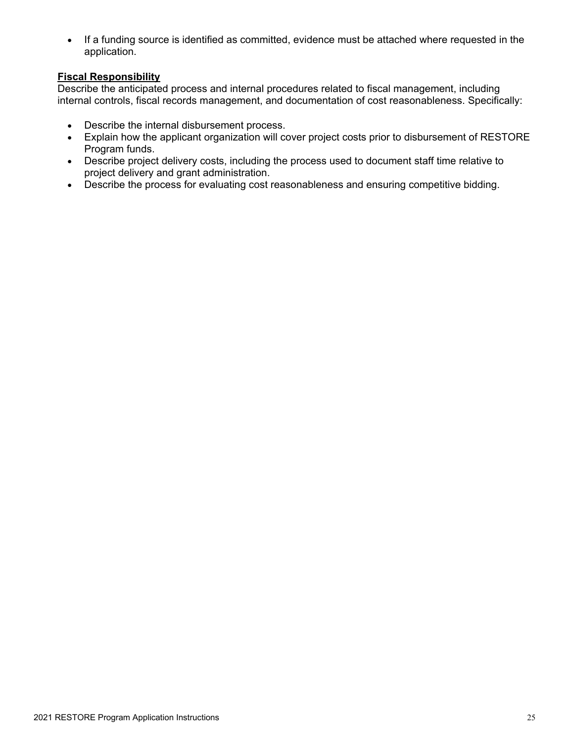• If a funding source is identified as committed, evidence must be attached where requested in the application.

# **Fiscal Responsibility**

Describe the anticipated process and internal procedures related to fiscal management, including internal controls, fiscal records management, and documentation of cost reasonableness. Specifically:

- Describe the internal disbursement process.
- Explain how the applicant organization will cover project costs prior to disbursement of RESTORE Program funds.
- Describe project delivery costs, including the process used to document staff time relative to project delivery and grant administration.
- Describe the process for evaluating cost reasonableness and ensuring competitive bidding.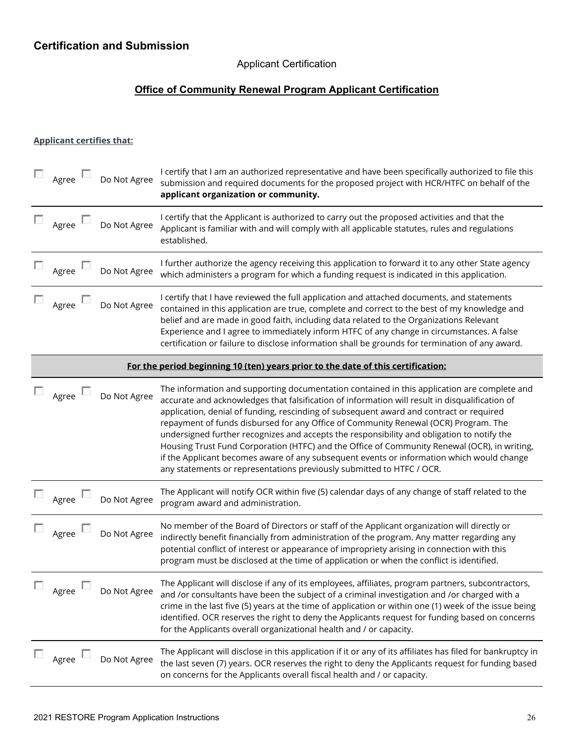# Applicant Certification

# **Office of Community Renewal Program Applicant Certification**

# <span id="page-26-0"></span>**Applicant certifies that:**

| Agree                                                                            |  | Do Not Agree | I certify that I am an authorized representative and have been specifically authorized to file this<br>submission and required documents for the proposed project with HCR/HTFC on behalf of the<br>applicant organization or community.                                                                                                                                                                                                                                                                                                                                                                                                                                                                                                            |  |  |  |
|----------------------------------------------------------------------------------|--|--------------|-----------------------------------------------------------------------------------------------------------------------------------------------------------------------------------------------------------------------------------------------------------------------------------------------------------------------------------------------------------------------------------------------------------------------------------------------------------------------------------------------------------------------------------------------------------------------------------------------------------------------------------------------------------------------------------------------------------------------------------------------------|--|--|--|
| Agree $\Box$                                                                     |  | Do Not Agree | I certify that the Applicant is authorized to carry out the proposed activities and that the<br>Applicant is familiar with and will comply with all applicable statutes, rules and regulations<br>established.                                                                                                                                                                                                                                                                                                                                                                                                                                                                                                                                      |  |  |  |
| Agree                                                                            |  | Do Not Agree | I further authorize the agency receiving this application to forward it to any other State agency<br>which administers a program for which a funding request is indicated in this application.                                                                                                                                                                                                                                                                                                                                                                                                                                                                                                                                                      |  |  |  |
| Agree                                                                            |  | Do Not Agree | I certify that I have reviewed the full application and attached documents, and statements<br>contained in this application are true, complete and correct to the best of my knowledge and<br>belief and are made in good faith, including data related to the Organizations Relevant<br>Experience and I agree to immediately inform HTFC of any change in circumstances. A false<br>certification or failure to disclose information shall be grounds for termination of any award.                                                                                                                                                                                                                                                               |  |  |  |
| For the period beginning 10 (ten) years prior to the date of this certification: |  |              |                                                                                                                                                                                                                                                                                                                                                                                                                                                                                                                                                                                                                                                                                                                                                     |  |  |  |
| Agree                                                                            |  | Do Not Agree | The information and supporting documentation contained in this application are complete and<br>accurate and acknowledges that falsification of information will result in disqualification of<br>application, denial of funding, rescinding of subsequent award and contract or required<br>repayment of funds disbursed for any Office of Community Renewal (OCR) Program. The<br>undersigned further recognizes and accepts the responsibility and obligation to notify the<br>Housing Trust Fund Corporation (HTFC) and the Office of Community Renewal (OCR), in writing,<br>if the Applicant becomes aware of any subsequent events or information which would change<br>any statements or representations previously submitted to HTFC / OCR. |  |  |  |
| $\Box$ Agree                                                                     |  | Do Not Agree | The Applicant will notify OCR within five (5) calendar days of any change of staff related to the<br>program award and administration.                                                                                                                                                                                                                                                                                                                                                                                                                                                                                                                                                                                                              |  |  |  |
| Agree                                                                            |  | Do Not Agree | No member of the Board of Directors or staff of the Applicant organization will directly or<br>indirectly benefit financially from administration of the program. Any matter regarding any<br>potential conflict of interest or appearance of impropriety arising in connection with this<br>program must be disclosed at the time of application or when the conflict is identified.                                                                                                                                                                                                                                                                                                                                                               |  |  |  |
| Agree                                                                            |  | Do Not Agree | The Applicant will disclose if any of its employees, affiliates, program partners, subcontractors,<br>and /or consultants have been the subject of a criminal investigation and /or charged with a<br>crime in the last five (5) years at the time of application or within one (1) week of the issue being<br>identified. OCR reserves the right to deny the Applicants request for funding based on concerns<br>for the Applicants overall organizational health and / or capacity.                                                                                                                                                                                                                                                               |  |  |  |
| Agree                                                                            |  | Do Not Agree | The Applicant will disclose in this application if it or any of its affiliates has filed for bankruptcy in<br>the last seven (7) years. OCR reserves the right to deny the Applicants request for funding based<br>on concerns for the Applicants overall fiscal health and / or capacity.                                                                                                                                                                                                                                                                                                                                                                                                                                                          |  |  |  |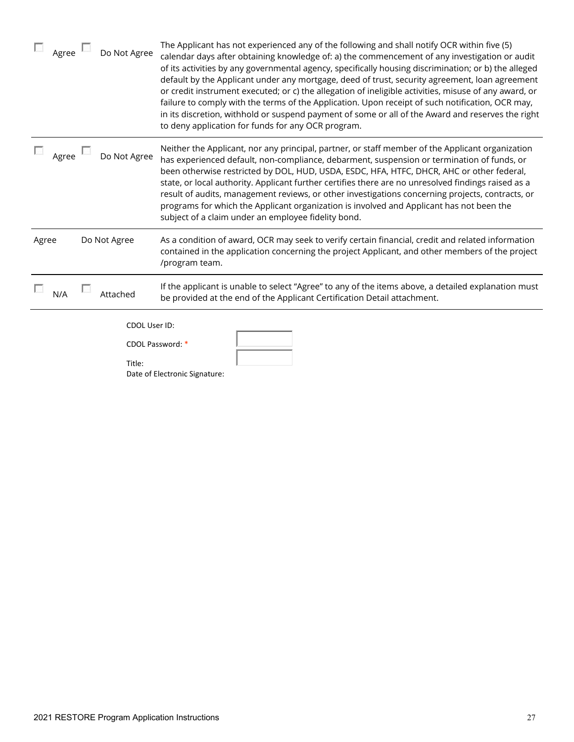| $\Box$ Agree       | Do Not Agree            | The Applicant has not experienced any of the following and shall notify OCR within five (5)<br>calendar days after obtaining knowledge of: a) the commencement of any investigation or audit<br>of its activities by any governmental agency, specifically housing discrimination; or b) the alleged<br>default by the Applicant under any mortgage, deed of trust, security agreement, loan agreement<br>or credit instrument executed; or c) the allegation of ineligible activities, misuse of any award, or<br>failure to comply with the terms of the Application. Upon receipt of such notification, OCR may,<br>in its discretion, withhold or suspend payment of some or all of the Award and reserves the right<br>to deny application for funds for any OCR program. |
|--------------------|-------------------------|--------------------------------------------------------------------------------------------------------------------------------------------------------------------------------------------------------------------------------------------------------------------------------------------------------------------------------------------------------------------------------------------------------------------------------------------------------------------------------------------------------------------------------------------------------------------------------------------------------------------------------------------------------------------------------------------------------------------------------------------------------------------------------|
| Agree <sup>1</sup> | Do Not Agree            | Neither the Applicant, nor any principal, partner, or staff member of the Applicant organization<br>has experienced default, non-compliance, debarment, suspension or termination of funds, or<br>been otherwise restricted by DOL, HUD, USDA, ESDC, HFA, HTFC, DHCR, AHC or other federal,<br>state, or local authority. Applicant further certifies there are no unresolved findings raised as a<br>result of audits, management reviews, or other investigations concerning projects, contracts, or<br>programs for which the Applicant organization is involved and Applicant has not been the<br>subject of a claim under an employee fidelity bond.                                                                                                                      |
| Agree              | Do Not Agree            | As a condition of award, OCR may seek to verify certain financial, credit and related information<br>contained in the application concerning the project Applicant, and other members of the project<br>/program team.                                                                                                                                                                                                                                                                                                                                                                                                                                                                                                                                                         |
| N/A                | Attached                | If the applicant is unable to select "Agree" to any of the items above, a detailed explanation must<br>be provided at the end of the Applicant Certification Detail attachment.                                                                                                                                                                                                                                                                                                                                                                                                                                                                                                                                                                                                |
|                    | CDOL User ID:<br>Title: | CDOL Password: *<br>Date of Electronic Signature:                                                                                                                                                                                                                                                                                                                                                                                                                                                                                                                                                                                                                                                                                                                              |